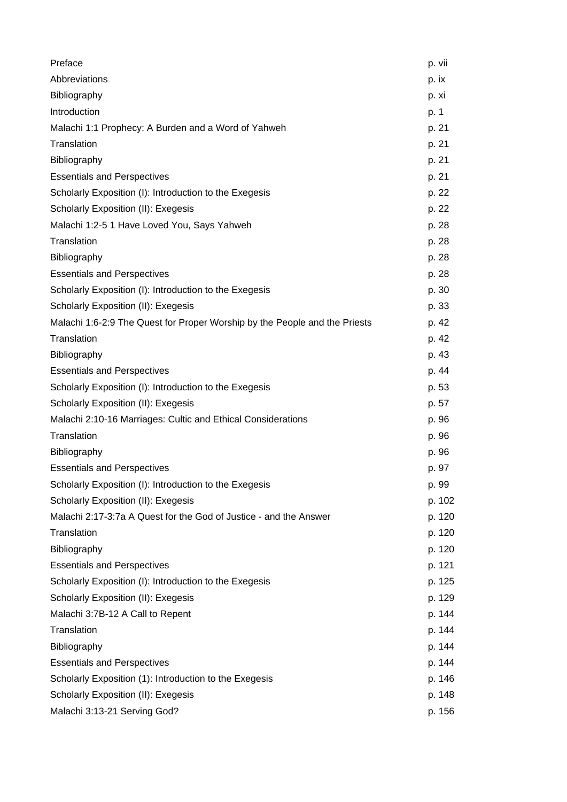| Preface                                                                    | p. vii |
|----------------------------------------------------------------------------|--------|
| Abbreviations                                                              | p. ix  |
| Bibliography                                                               | p. xi  |
| Introduction                                                               | p. 1   |
| Malachi 1:1 Prophecy: A Burden and a Word of Yahweh                        | p. 21  |
| Translation                                                                | p. 21  |
| Bibliography                                                               | p. 21  |
| <b>Essentials and Perspectives</b>                                         | p. 21  |
| Scholarly Exposition (I): Introduction to the Exegesis                     | p. 22  |
| Scholarly Exposition (II): Exegesis                                        | p. 22  |
| Malachi 1:2-5 1 Have Loved You, Says Yahweh                                | p. 28  |
| Translation                                                                | p. 28  |
| Bibliography                                                               | p. 28  |
| <b>Essentials and Perspectives</b>                                         | p. 28  |
| Scholarly Exposition (I): Introduction to the Exegesis                     | p. 30  |
| Scholarly Exposition (II): Exegesis                                        | p. 33  |
| Malachi 1:6-2:9 The Quest for Proper Worship by the People and the Priests | p. 42  |
| Translation                                                                | p. 42  |
| Bibliography                                                               | p. 43  |
| <b>Essentials and Perspectives</b>                                         | p. 44  |
| Scholarly Exposition (I): Introduction to the Exegesis                     | p. 53  |
| Scholarly Exposition (II): Exegesis                                        | p. 57  |
| Malachi 2:10-16 Marriages: Cultic and Ethical Considerations               | p. 96  |
| Translation                                                                | p. 96  |
| Bibliography                                                               | p. 96  |
| <b>Essentials and Perspectives</b>                                         | p. 97  |
| Scholarly Exposition (I): Introduction to the Exegesis                     | p. 99  |
| Scholarly Exposition (II): Exegesis                                        | p. 102 |
| Malachi 2:17-3:7a A Quest for the God of Justice - and the Answer          | p. 120 |
| Translation                                                                | p. 120 |
| Bibliography                                                               | p. 120 |
| <b>Essentials and Perspectives</b>                                         | p. 121 |
| Scholarly Exposition (I): Introduction to the Exegesis                     | p. 125 |
| Scholarly Exposition (II): Exegesis                                        | p. 129 |
| Malachi 3:7B-12 A Call to Repent                                           | p. 144 |
| Translation                                                                | p. 144 |
| Bibliography                                                               | p. 144 |
| <b>Essentials and Perspectives</b>                                         | p. 144 |
| Scholarly Exposition (1): Introduction to the Exegesis                     | p. 146 |
| Scholarly Exposition (II): Exegesis                                        | p. 148 |
| Malachi 3:13-21 Serving God?                                               | p. 156 |